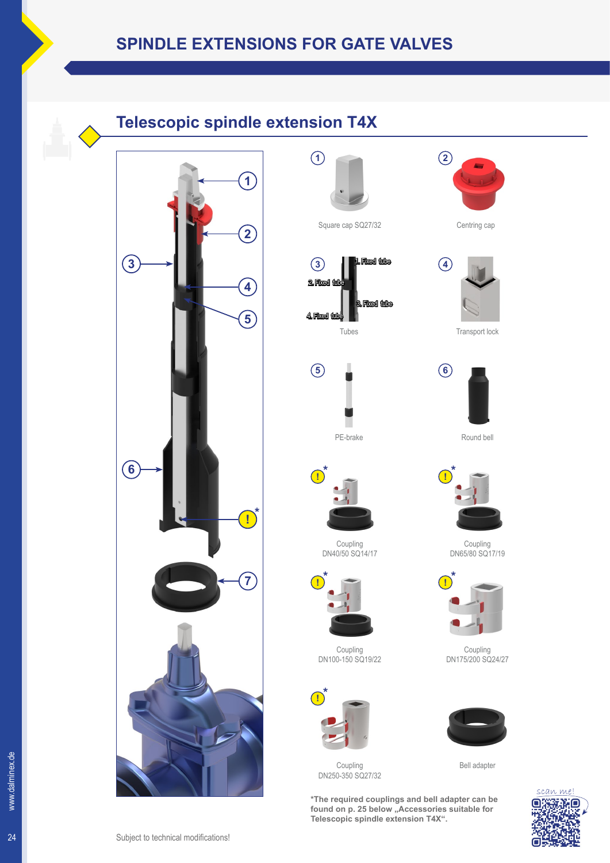## **Telescopic spindle extension T4X**







Tubes







Coupling DN40/50 SQ14/17



Coupling DN100-150 SQ19/22



Coupling DN250-350 SQ27/32

**\*The required couplings and bell adapter can be**  found on p. 25 below "Accessories suitable for **Telescopic spindle extension T4X".**



**2**











Coupling DN175/200 SQ24/27